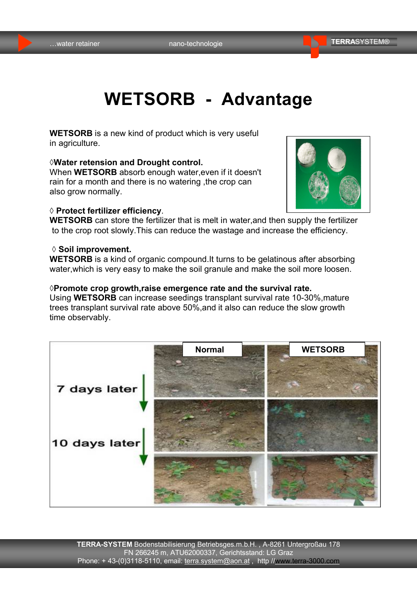# **WETSORB - Advantage**

**WETSORB** is a new kind of product which is very useful in agriculture.

#### **◊Water retension and Drought control.**

When **WETSORB** absorb enough water,even if it doesn't rain for a month and there is no watering ,the crop can also grow normally.

#### **◊ Protect fertilizer efficiency**.



**WETSORB** can store the fertilizer that is melt in water,and then supply the fertilizer to the crop root slowly.This can reduce the wastage and increase the efficiency.

#### **◊ Soil improvement.**

**WETSORB** is a kind of organic compound.It turns to be gelatinous after absorbing water,which is very easy to make the soil granule and make the soil more loosen.

#### **◊Promote crop growth,raise emergence rate and the survival rate.**

Using **WETSORB** can increase seedings transplant survival rate 10-30%,mature trees transplant survival rate above 50%,and it also can reduce the slow growth time observably.

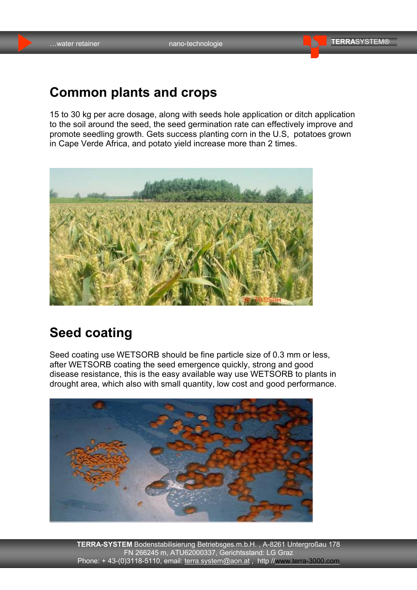### **Common plants and crops**

15 to 30 kg per acre dosage, along with seeds hole application or ditch application to the soil around the seed, the seed germination rate can effectively improve and promote seedling growth. Gets success planting corn in the U.S, potatoes grown in Cape Verde Africa, and potato yield increase more than 2 times.



### **Seed coating**

Seed coating use WETSORB should be fine particle size of 0.3 mm or less, after WETSORB coating the seed emergence quickly, strong and good disease resistance, this is the easy available way use WETSORB to plants in drought area, which also with small quantity, low cost and good performance.



**TERRA-SYSTEM** Bodenstabilisierung Betriebsges.m.b.H. , A-8261 Untergroßau 178 FN 266245 m, ATU62000337, Gerichtsstand: LG Graz Phone: +43-(0)3118-5110, email: terra.system@aon.at, http //<www.terra-3000.com>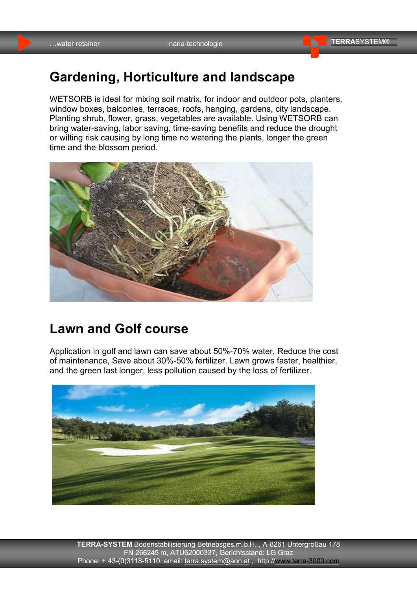### **Gardening, Horticulture and landscape**

WETSORB is ideal for mixing soil matrix, for indoor and outdoor pots, planters, window boxes, balconies, terraces, roofs, hanging, gardens, city landscape. Planting shrub, flower, grass, vegetables are available. Using WETSORB can bring water-saving, labor saving, time-saving benefits and reduce the drought or wilting risk causing by long time no watering the plants, longer the green time and the blossom period.



### **Lawn and Golf course**

Application in golf and lawn can save about 50%-70% water, Reduce the cost of maintenance, Save about 30%-50% fertilizer. Lawn grows faster, healthier, and the green last longer, less pollution caused by the loss of fertilizer.



**TERRA-SYSTEM** Bodenstabilisierung Betriebsges.m.b.H. , A-8261 Untergroßau 178 FN 266245 m, ATU62000337, Gerichtsstand: LG Graz Phone: +43-(0)3118-5110, email: terra.system@aon.at, http //<www.terra-3000.com>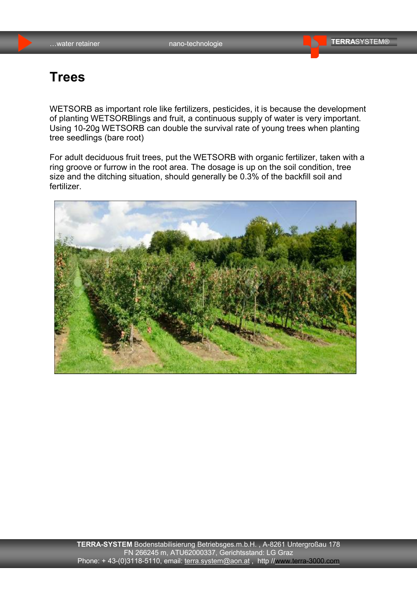### **Trees**

WETSORB as important role like fertilizers, pesticides, it is because the development of planting WETSORBlings and fruit, a continuous supply of water is very important. Using 10-20g WETSORB can double the survival rate of young trees when planting tree seedlings (bare root)

For adult deciduous fruit trees, put the WETSORB with organic fertilizer, taken with a ring groove or furrow in the root area. The dosage is up on the soil condition, tree size and the ditching situation, should generally be 0.3% of the backfill soil and fertilizer.